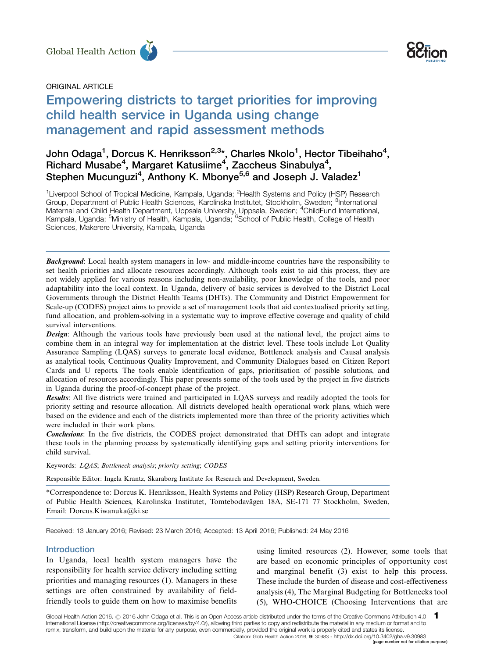



# ORIGINAL ARTICLE

# Empowering districts to target priorities for improving child health service in Uganda using change management and rapid assessment methods Global Health Action<br>
ORIGINAL ARTICLE<br>
Empowering districts to target priorities for improving

# John Odaga<sup>1</sup>, Dorcus K. Henriksson<sup>2,3</sup>\*, Charles Nkolo<sup>1</sup>, Hector Tibeihaho<sup>4</sup>, Richard Musabe<sup>4</sup>, Margaret Katusiime<sup>4</sup>, Zaccheus Sinabulya<sup>4</sup>, Stephen Mucunguzi<sup>4</sup>, Anthony K. Mbonye<sup>5,6</sup> and Joseph J. Valadez<sup>1</sup>

<sup>1</sup>Liverpool School of Tropical Medicine, Kampala, Uganda; <sup>2</sup>Health Systems and Policy (HSP) Research Group, Department of Public Health Sciences, Karolinska Institutet, Stockholm, Sweden; <sup>3</sup>International Maternal and Child Health Department, Uppsala University, Uppsala, Sweden; <sup>4</sup>ChildFund International,<br>Kampala, Uganda; <sup>5</sup>Ministry of Health, Kampala, Uganda; <sup>6</sup>School of Public Health, College of Health Sciences, Makerere University, Kampala, Uganda

**Background:** Local health system managers in low- and middle-income countries have the responsibility to set health priorities and allocate resources accordingly. Although tools exist to aid this process, they are not widely applied for various reasons including non-availability, poor knowledge of the tools, and poor adaptability into the local context. In Uganda, delivery of basic services is devolved to the District Local Governments through the District Health Teams (DHTs). The Community and District Empowerment for Scale-up (CODES) project aims to provide a set of management tools that aid contextualised priority setting, fund allocation, and problem-solving in a systematic way to improve effective coverage and quality of child survival interventions.

**Design:** Although the various tools have previously been used at the national level, the project aims to combine them in an integral way for implementation at the district level. These tools include Lot Quality Assurance Sampling (LQAS) surveys to generate local evidence, Bottleneck analysis and Causal analysis as analytical tools, Continuous Quality Improvement, and Community Dialogues based on Citizen Report Cards and U reports. The tools enable identification of gaps, prioritisation of possible solutions, and allocation of resources accordingly. This paper presents some of the tools used by the project in five districts in Uganda during the proof-of-concept phase of the project.

Results: All five districts were trained and participated in LQAS surveys and readily adopted the tools for priority setting and resource allocation. All districts developed health operational work plans, which were based on the evidence and each of the districts implemented more than three of the priority activities which were included in their work plans.

Conclusions: In the five districts, the CODES project demonstrated that DHTs can adopt and integrate these tools in the planning process by systematically identifying gaps and setting priority interventions for child survival.

Keywords: LQAS; Bottleneck analysis; priority setting; CODES

Responsible Editor: Ingela Krantz, Skaraborg Institute for Research and Development, Sweden.

\*Correspondence to: Dorcus K. Henriksson, Health Systems and Policy (HSP) Research Group, Department of Public Health Sciences, Karolinska Institutet, Tomtebodavägen 18A, SE-171 77 Stockholm, Sweden, Email: Dorcus.Kiwanuka@ki.se

Received: 13 January 2016; Revised: 23 March 2016; Accepted: 13 April 2016; Published: 24 May 2016

#### Introduction

In Uganda, local health system managers have the responsibility for health service delivery including setting priorities and managing resources (1). Managers in these settings are often constrained by availability of fieldfriendly tools to guide them on how to maximise benefits using limited resources (2). However, some tools that are based on economic principles of opportunity cost and marginal benefit (3) exist to help this process. These include the burden of disease and cost-effectiveness analysis (4), The Marginal Budgeting for Bottlenecks tool (5), WHO-CHOICE (Choosing Interventions that are

(page number not for citation purpose)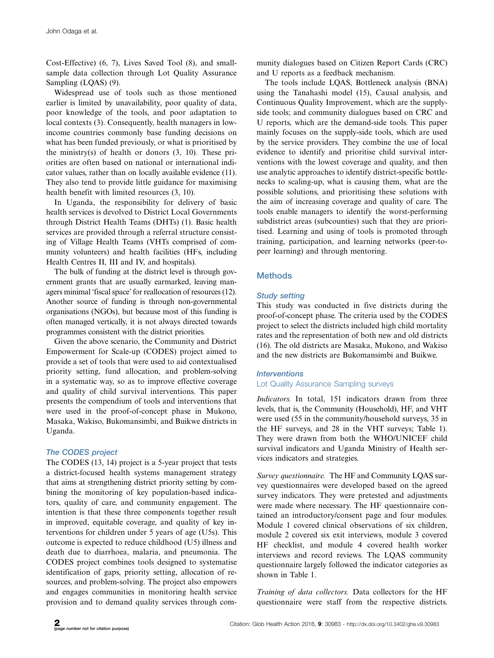Cost-Effective) (6, 7), Lives Saved Tool (8), and smallsample data collection through Lot Quality Assurance Sampling (LQAS) (9).

Widespread use of tools such as those mentioned earlier is limited by unavailability, poor quality of data, poor knowledge of the tools, and poor adaptation to local contexts (3). Consequently, health managers in lowincome countries commonly base funding decisions on what has been funded previously, or what is prioritised by the ministry(s) of health or donors  $(3, 10)$ . These priorities are often based on national or international indicator values, rather than on locally available evidence (11). They also tend to provide little guidance for maximising health benefit with limited resources (3, 10).

In Uganda, the responsibility for delivery of basic health services is devolved to District Local Governments through District Health Teams (DHTs) (1). Basic health services are provided through a referral structure consisting of Village Health Teams (VHTs comprised of community volunteers) and health facilities (HFs, including Health Centres II, III and IV, and hospitals).

The bulk of funding at the district level is through government grants that are usually earmarked, leaving managers minimal 'fiscal space' for reallocation of resources (12). Another source of funding is through non-governmental organisations (NGOs), but because most of this funding is often managed vertically, it is not always directed towards programmes consistent with the district priorities.

Given the above scenario, the Community and District Empowerment for Scale-up (CODES) project aimed to provide a set of tools that were used to aid contextualised priority setting, fund allocation, and problem-solving in a systematic way, so as to improve effective coverage and quality of child survival interventions. This paper presents the compendium of tools and interventions that were used in the proof-of-concept phase in Mukono, Masaka, Wakiso, Bukomansimbi, and Buikwe districts in Uganda.

# The CODES project

The CODES (13, 14) project is a 5-year project that tests a district-focused health systems management strategy that aims at strengthening district priority setting by combining the monitoring of key population-based indicators, quality of care, and community engagement. The intention is that these three components together result in improved, equitable coverage, and quality of key interventions for children under 5 years of age (U5s). This outcome is expected to reduce childhood (U5) illness and death due to diarrhoea, malaria, and pneumonia. The CODES project combines tools designed to systematise identification of gaps, priority setting, allocation of resources, and problem-solving. The project also empowers and engages communities in monitoring health service provision and to demand quality services through community dialogues based on Citizen Report Cards (CRC) and U reports as a feedback mechanism.

The tools include LQAS, Bottleneck analysis (BNA) using the Tanahashi model (15), Causal analysis, and Continuous Quality Improvement, which are the supplyside tools; and community dialogues based on CRC and U reports, which are the demand-side tools. This paper mainly focuses on the supply-side tools, which are used by the service providers. They combine the use of local evidence to identify and prioritise child survival interventions with the lowest coverage and quality, and then use analytic approaches to identify district-specific bottlenecks to scaling-up, what is causing them, what are the possible solutions, and prioritising these solutions with the aim of increasing coverage and quality of care. The tools enable managers to identify the worst-performing subdistrict areas (subcounties) such that they are prioritised. Learning and using of tools is promoted through training, participation, and learning networks (peer-topeer learning) and through mentoring.

# Methods

# Study setting

This study was conducted in five districts during the proof-of-concept phase. The criteria used by the CODES project to select the districts included high child mortality rates and the representation of both new and old districts (16). The old districts are Masaka, Mukono, and Wakiso and the new districts are Bukomansimbi and Buikwe.

# **Interventions**

# Lot Quality Assurance Sampling surveys

Indicators. In total, 151 indicators drawn from three levels, that is, the Community (Household), HF, and VHT were used (55 in the community/household surveys, 35 in the HF surveys, and 28 in the VHT surveys; Table 1). They were drawn from both the WHO/UNICEF child survival indicators and Uganda Ministry of Health services indicators and strategies.

Survey questionnaire. The HF and Community LQAS survey questionnaires were developed based on the agreed survey indicators. They were pretested and adjustments were made where necessary. The HF questionnaire contained an introductory/consent page and four modules. Module 1 covered clinical observations of six children, module 2 covered six exit interviews, module 3 covered HF checklist, and module 4 covered health worker interviews and record reviews. The LQAS community questionnaire largely followed the indicator categories as shown in Table 1.

Training of data collectors. Data collectors for the HF questionnaire were staff from the respective districts.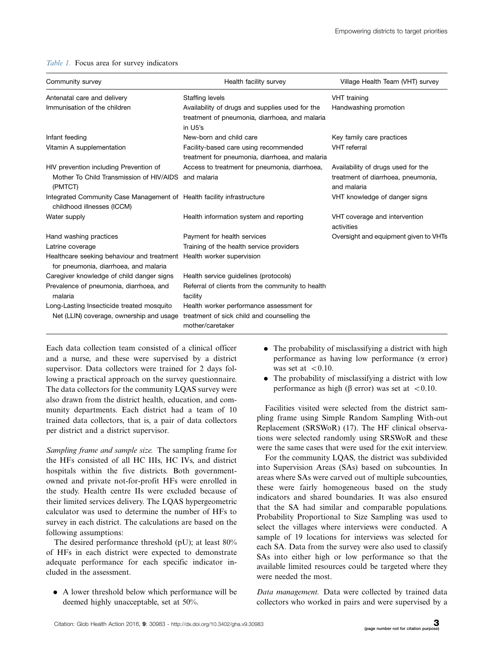#### Table 1. Focus area for survey indicators

| Community survey                                                                                              | Health facility survey                                                                                       | Village Health Team (VHT) survey                                                        |
|---------------------------------------------------------------------------------------------------------------|--------------------------------------------------------------------------------------------------------------|-----------------------------------------------------------------------------------------|
| Antenatal care and delivery                                                                                   | <b>Staffing levels</b>                                                                                       | VHT training                                                                            |
| Immunisation of the children                                                                                  | Availability of drugs and supplies used for the<br>treatment of pneumonia, diarrhoea, and malaria<br>in U5's | Handwashing promotion                                                                   |
| Infant feeding                                                                                                | New-born and child care                                                                                      | Key family care practices                                                               |
| Vitamin A supplementation                                                                                     | Facility-based care using recommended<br>treatment for pneumonia, diarrhoea, and malaria                     | <b>VHT</b> referral                                                                     |
| HIV prevention including Prevention of<br>Mother To Child Transmission of HIV/AIDS<br>(PMTCT)                 | Access to treatment for pneumonia, diarrhoea,<br>and malaria                                                 | Availability of drugs used for the<br>treatment of diarrhoea, pneumonia,<br>and malaria |
| Integrated Community Case Management of Health facility infrastructure<br>childhood illnesses (ICCM)          |                                                                                                              | VHT knowledge of danger signs                                                           |
| Water supply                                                                                                  | Health information system and reporting                                                                      | VHT coverage and intervention<br>activities                                             |
| Hand washing practices                                                                                        | Payment for health services                                                                                  | Oversight and equipment given to VHTs                                                   |
| Latrine coverage                                                                                              | Training of the health service providers                                                                     |                                                                                         |
| Healthcare seeking behaviour and treatment Health worker supervision<br>for pneumonia, diarrhoea, and malaria |                                                                                                              |                                                                                         |
| Caregiver knowledge of child danger signs                                                                     | Health service guidelines (protocols)                                                                        |                                                                                         |
| Prevalence of pneumonia, diarrhoea, and<br>malaria                                                            | Referral of clients from the community to health<br>facility                                                 |                                                                                         |
| Long-Lasting Insecticide treated mosquito<br>Net (LLIN) coverage, ownership and usage                         | Health worker performance assessment for<br>treatment of sick child and counselling the<br>mother/caretaker  |                                                                                         |

Each data collection team consisted of a clinical officer and a nurse, and these were supervised by a district supervisor. Data collectors were trained for 2 days following a practical approach on the survey questionnaire. The data collectors for the community LQAS survey were also drawn from the district health, education, and community departments. Each district had a team of 10 trained data collectors, that is, a pair of data collectors per district and a district supervisor.

Sampling frame and sample size. The sampling frame for the HFs consisted of all HC IIIs, HC IVs, and district hospitals within the five districts. Both governmentowned and private not-for-profit HFs were enrolled in the study. Health centre IIs were excluded because of their limited services delivery. The LQAS hypergeometric calculator was used to determine the number of HFs to survey in each district. The calculations are based on the following assumptions:

The desired performance threshold (pU); at least 80% of HFs in each district were expected to demonstrate adequate performance for each specific indicator included in the assessment.

. A lower threshold below which performance will be deemed highly unacceptable, set at 50%.

- The probability of misclassifying a district with high performance as having low performance  $(\alpha$  error) was set at  $\leq 0.10$ .
- . The probability of misclassifying a district with low performance as high ( $\beta$  error) was set at <0.10.

Facilities visited were selected from the district sampling frame using Simple Random Sampling With-out Replacement (SRSWoR) (17). The HF clinical observations were selected randomly using SRSWoR and these were the same cases that were used for the exit interview.

For the community LQAS, the district was subdivided into Supervision Areas (SAs) based on subcounties. In areas where SAs were carved out of multiple subcounties, these were fairly homogeneous based on the study indicators and shared boundaries. It was also ensured that the SA had similar and comparable populations. Probability Proportional to Size Sampling was used to select the villages where interviews were conducted. A sample of 19 locations for interviews was selected for each SA. Data from the survey were also used to classify SAs into either high or low performance so that the available limited resources could be targeted where they were needed the most.

Data management. Data were collected by trained data collectors who worked in pairs and were supervised by a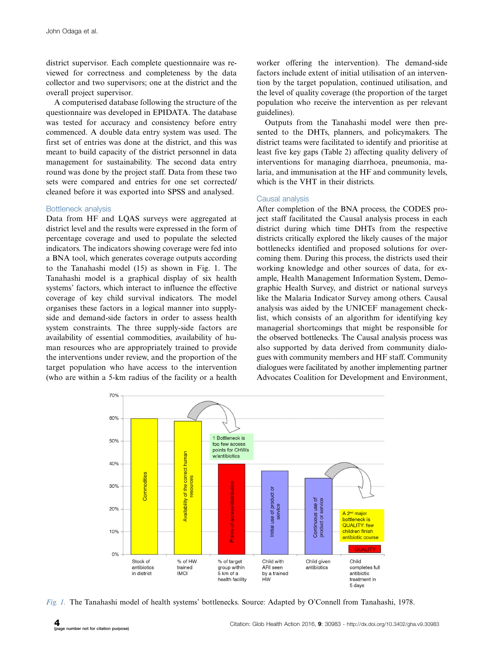district supervisor. Each complete questionnaire was reviewed for correctness and completeness by the data collector and two supervisors; one at the district and the overall project supervisor.

A computerised database following the structure of the questionnaire was developed in EPIDATA. The database was tested for accuracy and consistency before entry commenced. A double data entry system was used. The first set of entries was done at the district, and this was meant to build capacity of the district personnel in data management for sustainability. The second data entry round was done by the project staff. Data from these two sets were compared and entries for one set corrected/ cleaned before it was exported into SPSS and analysed.

#### Bottleneck analysis

Data from HF and LQAS surveys were aggregated at district level and the results were expressed in the form of percentage coverage and used to populate the selected indicators. The indicators showing coverage were fed into a BNA tool, which generates coverage outputs according to the Tanahashi model (15) as shown in Fig. 1. The Tanahashi model is a graphical display of six health systems' factors, which interact to influence the effective coverage of key child survival indicators. The model organises these factors in a logical manner into supplyside and demand-side factors in order to assess health system constraints. The three supply-side factors are availability of essential commodities, availability of human resources who are appropriately trained to provide the interventions under review, and the proportion of the target population who have access to the intervention (who are within a 5-km radius of the facility or a health

worker offering the intervention). The demand-side factors include extent of initial utilisation of an intervention by the target population, continued utilisation, and the level of quality coverage (the proportion of the target population who receive the intervention as per relevant guidelines).

Outputs from the Tanahashi model were then presented to the DHTs, planners, and policymakers. The district teams were facilitated to identify and prioritise at least five key gaps (Table 2) affecting quality delivery of interventions for managing diarrhoea, pneumonia, malaria, and immunisation at the HF and community levels, which is the VHT in their districts.

#### Causal analysis

After completion of the BNA process, the CODES project staff facilitated the Causal analysis process in each district during which time DHTs from the respective districts critically explored the likely causes of the major bottlenecks identified and proposed solutions for overcoming them. During this process, the districts used their working knowledge and other sources of data, for example, Health Management Information System, Demographic Health Survey, and district or national surveys like the Malaria Indicator Survey among others. Causal analysis was aided by the UNICEF management checklist, which consists of an algorithm for identifying key managerial shortcomings that might be responsible for the observed bottlenecks. The Causal analysis process was also supported by data derived from community dialogues with community members and HF staff. Community dialogues were facilitated by another implementing partner Advocates Coalition for Development and Environment,



Fig. 1. The Tanahashi model of health systems' bottlenecks. Source: Adapted by O'Connell from Tanahashi, 1978.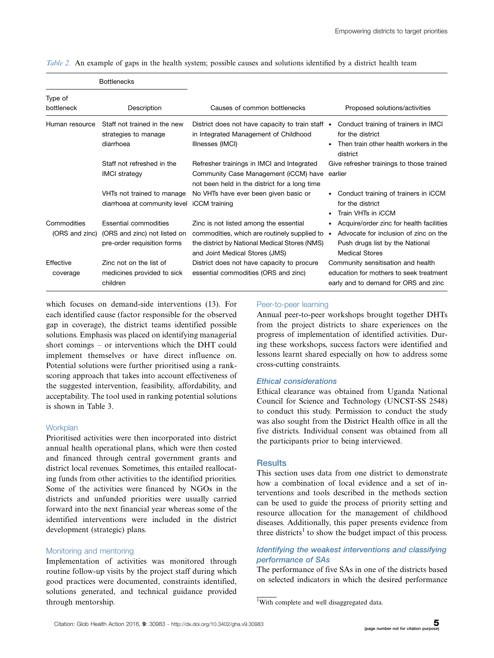|                               | <b>Bottlenecks</b>                                                                   |                                                                                                                                                                             |                                                                                                                                                 |
|-------------------------------|--------------------------------------------------------------------------------------|-----------------------------------------------------------------------------------------------------------------------------------------------------------------------------|-------------------------------------------------------------------------------------------------------------------------------------------------|
| Type of<br>bottleneck         | Description                                                                          | Causes of common bottlenecks                                                                                                                                                | Proposed solutions/activities                                                                                                                   |
| Human resource                | Staff not trained in the new<br>strategies to manage<br>diarrhoea                    | District does not have capacity to train staff •<br>in Integrated Management of Childhood<br>Illnesses (IMCI)                                                               | Conduct training of trainers in IMCI<br>for the district<br>Then train other health workers in the<br>district                                  |
|                               | Staff not refreshed in the<br><b>IMCI</b> strategy                                   | Refresher trainings in IMCI and Integrated<br>Community Case Management (iCCM) have<br>not been held in the district for a long time                                        | Give refresher trainings to those trained<br>earlier                                                                                            |
|                               | VHTs not trained to manage<br>diarrhoea at community level iCCM training             | No VHTs have ever been given basic or                                                                                                                                       | Conduct training of trainers in iCCM<br>for the district<br>Train VHTs in iCCM                                                                  |
| Commodities<br>(ORS and zinc) | Essential commodities<br>(ORS and zinc) not listed on<br>pre-order requisition forms | Zinc is not listed among the essential<br>commodities, which are routinely supplied to •<br>the district by National Medical Stores (NMS)<br>and Joint Medical Stores (JMS) | • Acquire/order zinc for health facilities<br>Advocate for inclusion of zinc on the<br>Push drugs list by the National<br><b>Medical Stores</b> |
| Effective<br>coverage         | Zinc not on the list of<br>medicines provided to sick<br>children                    | District does not have capacity to procure<br>essential commodities (ORS and zinc)                                                                                          | Community sensitisation and health<br>education for mothers to seek treatment<br>early and to demand for ORS and zinc                           |

Table 2. An example of gaps in the health system; possible causes and solutions identified by a district health team

which focuses on demand-side interventions (13). For each identified cause (factor responsible for the observed gap in coverage), the district teams identified possible solutions. Emphasis was placed on identifying managerial short comings - or interventions which the DHT could implement themselves or have direct influence on. Potential solutions were further prioritised using a rankscoring approach that takes into account effectiveness of the suggested intervention, feasibility, affordability, and acceptability. The tool used in ranking potential solutions is shown in Table 3.

#### **Workplan**

Prioritised activities were then incorporated into district annual health operational plans, which were then costed and financed through central government grants and district local revenues. Sometimes, this entailed reallocating funds from other activities to the identified priorities. Some of the activities were financed by NGOs in the districts and unfunded priorities were usually carried forward into the next financial year whereas some of the identified interventions were included in the district development (strategic) plans.

#### Monitoring and mentoring

Implementation of activities was monitored through routine follow-up visits by the project staff during which good practices were documented, constraints identified, solutions generated, and technical guidance provided through mentorship.

#### Peer-to-peer learning

Annual peer-to-peer workshops brought together DHTs from the project districts to share experiences on the progress of implementation of identified activities. During these workshops, success factors were identified and lessons learnt shared especially on how to address some cross-cutting constraints.

#### Ethical considerations

Ethical clearance was obtained from Uganda National Council for Science and Technology (UNCST-SS 2548) to conduct this study. Permission to conduct the study was also sought from the District Health office in all the five districts. Individual consent was obtained from all the participants prior to being interviewed.

#### **Results**

This section uses data from one district to demonstrate how a combination of local evidence and a set of interventions and tools described in the methods section can be used to guide the process of priority setting and resource allocation for the management of childhood diseases. Additionally, this paper presents evidence from three districts<sup>1</sup> to show the budget impact of this process.

# Identifying the weakest interventions and classifying performance of SAs

The performance of five SAs in one of the districts based on selected indicators in which the desired performance

<sup>&</sup>lt;sup>1</sup>With complete and well disaggregated data.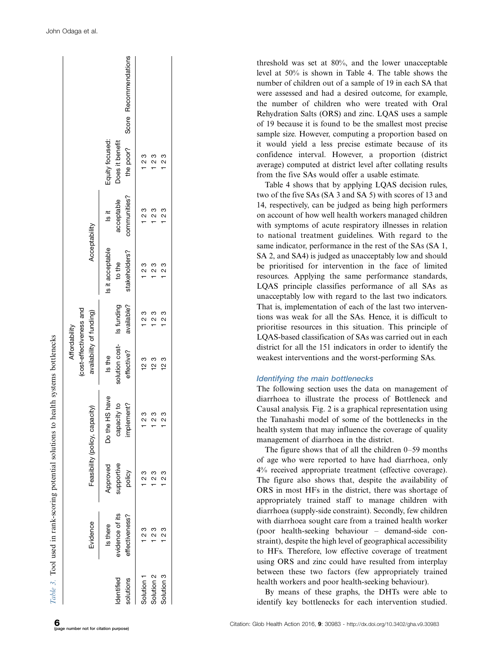|                        |                                               |                                  |                                             | (cost-effectiveness and<br>Affordability             |            |                                             |                                             |                                                 |                       |
|------------------------|-----------------------------------------------|----------------------------------|---------------------------------------------|------------------------------------------------------|------------|---------------------------------------------|---------------------------------------------|-------------------------------------------------|-----------------------|
|                        | Evidence                                      |                                  | Feasibility (policy, capacity)              | availability of funding)                             |            | Acceptability                               |                                             |                                                 |                       |
| dentified<br>solutions | evidence of its<br>effectiveness?<br>Is there | Approved<br>supportive<br>policy | Do the HS have<br>capacity to<br>implement? | solution cost-<br>Is funding<br>effective?<br>Is the | available? | stakeholders?<br>Is it acceptable<br>to the | communities?<br>acceptable<br>$\frac{1}{2}$ | the poor?<br>Equity focused:<br>Does it benefit | Score Recommendations |
| Solution               | უ<br>23                                       | ვ<br>                            | ო<br>ი                                      | 12 3                                                 | 1 ვ<br>1   | 1 ვ<br>1                                    | ე<br>1 2                                    | 1 2 3                                           |                       |
| Solution 2             | 1 2 3                                         | 23                               | ვ<br>2                                      | 123                                                  | 1 2 3      | 1 2 3                                       | 123                                         | 1 2 3                                           |                       |
| Solution 3             | უ<br>2 3                                      | ო<br>ი                           | ო<br>ი                                      | 123                                                  | 1 2 3      | 1 2 3                                       | 1 2 3                                       | 123                                             |                       |

threshold was set at 80%, and the lower unacceptable level at 50% is shown in Table 4. The table shows the number of children out of a sample of 19 in each SA that were assessed and had a desired outcome, for example, the number of children who were treated with Oral Rehydration Salts (ORS) and zinc. LQAS uses a sample of 19 because it is found to be the smallest most precise sample size. However, computing a proportion based on it would yield a less precise estimate because of its confidence interval. However, a proportion (district average) computed at district level after collating results from the five SAs would offer a usable estimate.

Table 4 shows that by applying LQAS decision rules, two of the five SAs (SA 3 and SA 5) with scores of 13 and 14, respectively, can be judged as being high performers on account of how well health workers managed children with symptoms of acute respiratory illnesses in relation to national treatment guidelines. With regard to the same indicator, performance in the rest of the SAs (SA 1, SA 2, and SA4) is judged as unacceptably low and should be prioritised for intervention in the face of limited resources. Applying the same performance standards, LQAS principle classifies performance of all SAs as unacceptably low with regard to the last two indicators. That is, implementation of each of the last two interventions was weak for all the SAs. Hence, it is difficult to prioritise resources in this situation. This principle of LQAS-based classification of SAs was carried out in each district for all the 151 indicators in order to identify the weakest interventions and the worst-performing SAs.

#### Identifying the main bottlenecks

The following section uses the data on management of diarrhoea to illustrate the process of Bottleneck and Causal analysis. Fig. 2 is a graphical representation using the Tanahashi model of some of the bottlenecks in the health system that may influence the coverage of quality management of diarrhoea in the district.

The figure shows that of all the children 0 -59 months of age who were reported to have had diarrhoea, only 4% received appropriate treatment (effective coverage). The figure also shows that, despite the availability of ORS in most HFs in the district, there was shortage of appropriately trained staff to manage children with diarrhoea (supply-side constraint). Secondly, few children with diarrhoea sought care from a trained health worker (poor health-seeking behaviour - demand-side constraint), despite the high level of geographical accessibility to HFs. Therefore, low effective coverage of treatment using ORS and zinc could have resulted from interplay between these two factors (few appropriately trained health workers and poor health-seeking behaviour).

By means of these graphs, the DHTs were able to identify key bottlenecks for each intervention studied.

Table 3. Tool used in rank-scoring potential solutions to health systems bottlenecks

Tool used in rank-scoring potential solutions to health systems bottlenecks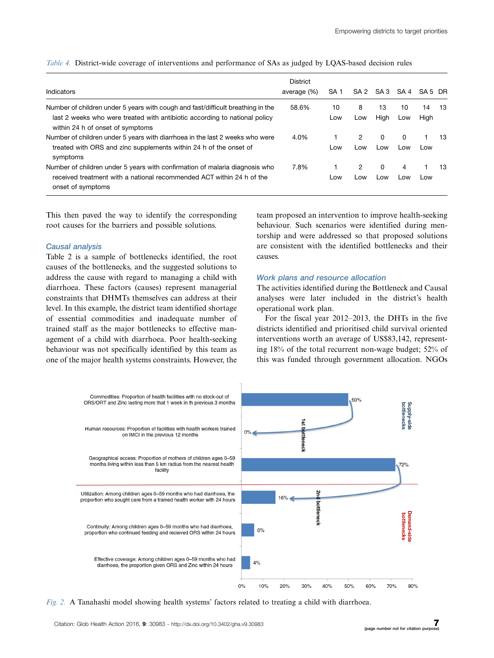|  | Table 4. District-wide coverage of interventions and performance of SAs as judged by LQAS-based decision rules |  |  |
|--|----------------------------------------------------------------------------------------------------------------|--|--|
|  |                                                                                                                |  |  |

| Indicators                                                                                                                                                                                        | <b>District</b><br>average (%) | SA <sub>1</sub> | SA <sub>2</sub> | SA 3       | SA 4      | SA 5 DR    |    |
|---------------------------------------------------------------------------------------------------------------------------------------------------------------------------------------------------|--------------------------------|-----------------|-----------------|------------|-----------|------------|----|
| Number of children under 5 years with cough and fast/difficult breathing in the<br>last 2 weeks who were treated with antibiotic according to national policy<br>within 24 h of onset of symptoms | 58.6%                          | 10<br>Low       | 8<br>Low        | 13<br>High | 10<br>Low | 14<br>High | 13 |
| Number of children under 5 years with diarrhoea in the last 2 weeks who were<br>treated with ORS and zinc supplements within 24 h of the onset of<br>symptoms                                     | 4.0%                           | Low             | 2<br>Low        | 0<br>Low   | 0<br>Low  | Low        | 13 |
| Number of children under 5 years with confirmation of malaria diagnosis who<br>received treatment with a national recommended ACT within 24 h of the<br>onset of symptoms                         | 7.8%                           | Low             | 2<br>Low        | 0<br>Low   | 4<br>Low  | Low        | 13 |

This then paved the way to identify the corresponding root causes for the barriers and possible solutions.

#### Causal analysis

Table 2 is a sample of bottlenecks identified, the root causes of the bottlenecks, and the suggested solutions to address the cause with regard to managing a child with diarrhoea. These factors (causes) represent managerial constraints that DHMTs themselves can address at their level. In this example, the district team identified shortage of essential commodities and inadequate number of trained staff as the major bottlenecks to effective management of a child with diarrhoea. Poor health-seeking behaviour was not specifically identified by this team as one of the major health systems constraints. However, the

team proposed an intervention to improve health-seeking behaviour. Such scenarios were identified during mentorship and were addressed so that proposed solutions are consistent with the identified bottlenecks and their causes.

#### Work plans and resource allocation

The activities identified during the Bottleneck and Causal analyses were later included in the district's health operational work plan.

For the fiscal year 2012-2013, the DHTs in the five districts identified and prioritised child survival oriented interventions worth an average of US\$83,142, representing 18% of the total recurrent non-wage budget; 52% of this was funded through government allocation. NGOs



Fig. 2. A Tanahashi model showing health systems' factors related to treating a child with diarrhoea.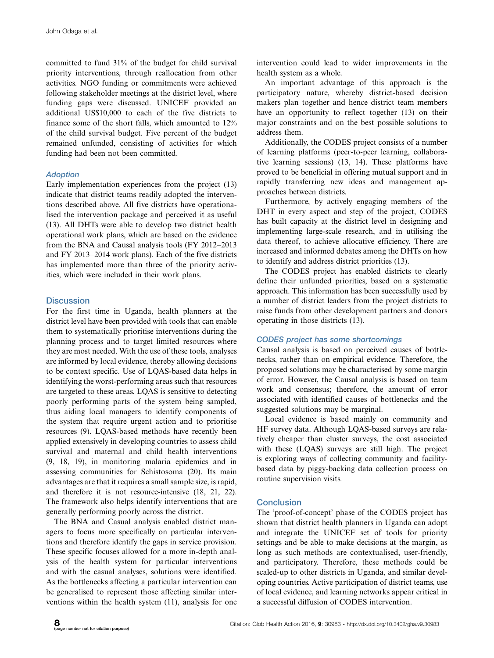committed to fund 31% of the budget for child survival priority interventions, through reallocation from other activities. NGO funding or commitments were achieved following stakeholder meetings at the district level, where funding gaps were discussed. UNICEF provided an additional US\$10,000 to each of the five districts to finance some of the short falls, which amounted to 12% of the child survival budget. Five percent of the budget remained unfunded, consisting of activities for which funding had been not been committed.

# Adoption

Early implementation experiences from the project (13) indicate that district teams readily adopted the interventions described above. All five districts have operationalised the intervention package and perceived it as useful (13). All DHTs were able to develop two district health operational work plans, which are based on the evidence from the BNA and Causal analysis tools (FY 2012-2013 and FY 2013-2014 work plans). Each of the five districts has implemented more than three of the priority activities, which were included in their work plans.

# **Discussion**

For the first time in Uganda, health planners at the district level have been provided with tools that can enable them to systematically prioritise interventions during the planning process and to target limited resources where they are most needed. With the use of these tools, analyses are informed by local evidence, thereby allowing decisions to be context specific. Use of LQAS-based data helps in identifying the worst-performing areas such that resources are targeted to these areas. LQAS is sensitive to detecting poorly performing parts of the system being sampled, thus aiding local managers to identify components of the system that require urgent action and to prioritise resources (9). LQAS-based methods have recently been applied extensively in developing countries to assess child survival and maternal and child health interventions (9, 18, 19), in monitoring malaria epidemics and in assessing communities for Schistosoma (20). Its main advantages are that it requires a small sample size, is rapid, and therefore it is not resource-intensive (18, 21, 22). The framework also helps identify interventions that are generally performing poorly across the district.

The BNA and Casual analysis enabled district managers to focus more specifically on particular interventions and therefore identify the gaps in service provision. These specific focuses allowed for a more in-depth analysis of the health system for particular interventions and with the casual analyses, solutions were identified. As the bottlenecks affecting a particular intervention can be generalised to represent those affecting similar interventions within the health system (11), analysis for one

intervention could lead to wider improvements in the health system as a whole.

An important advantage of this approach is the participatory nature, whereby district-based decision makers plan together and hence district team members have an opportunity to reflect together (13) on their major constraints and on the best possible solutions to address them.

Additionally, the CODES project consists of a number of learning platforms (peer-to-peer learning, collaborative learning sessions) (13, 14). These platforms have proved to be beneficial in offering mutual support and in rapidly transferring new ideas and management approaches between districts.

Furthermore, by actively engaging members of the DHT in every aspect and step of the project, CODES has built capacity at the district level in designing and implementing large-scale research, and in utilising the data thereof, to achieve allocative efficiency. There are increased and informed debates among the DHTs on how to identify and address district priorities (13).

The CODES project has enabled districts to clearly define their unfunded priorities, based on a systematic approach. This information has been successfully used by a number of district leaders from the project districts to raise funds from other development partners and donors operating in those districts (13).

# CODES project has some shortcomings

Causal analysis is based on perceived causes of bottlenecks, rather than on empirical evidence. Therefore, the proposed solutions may be characterised by some margin of error. However, the Causal analysis is based on team work and consensus; therefore, the amount of error associated with identified causes of bottlenecks and the suggested solutions may be marginal.

Local evidence is based mainly on community and HF survey data. Although LQAS-based surveys are relatively cheaper than cluster surveys, the cost associated with these (LQAS) surveys are still high. The project is exploring ways of collecting community and facilitybased data by piggy-backing data collection process on routine supervision visits.

# **Conclusion**

The 'proof-of-concept' phase of the CODES project has shown that district health planners in Uganda can adopt and integrate the UNICEF set of tools for priority settings and be able to make decisions at the margin, as long as such methods are contextualised, user-friendly, and participatory. Therefore, these methods could be scaled-up to other districts in Uganda, and similar developing countries. Active participation of district teams, use of local evidence, and learning networks appear critical in a successful diffusion of CODES intervention.